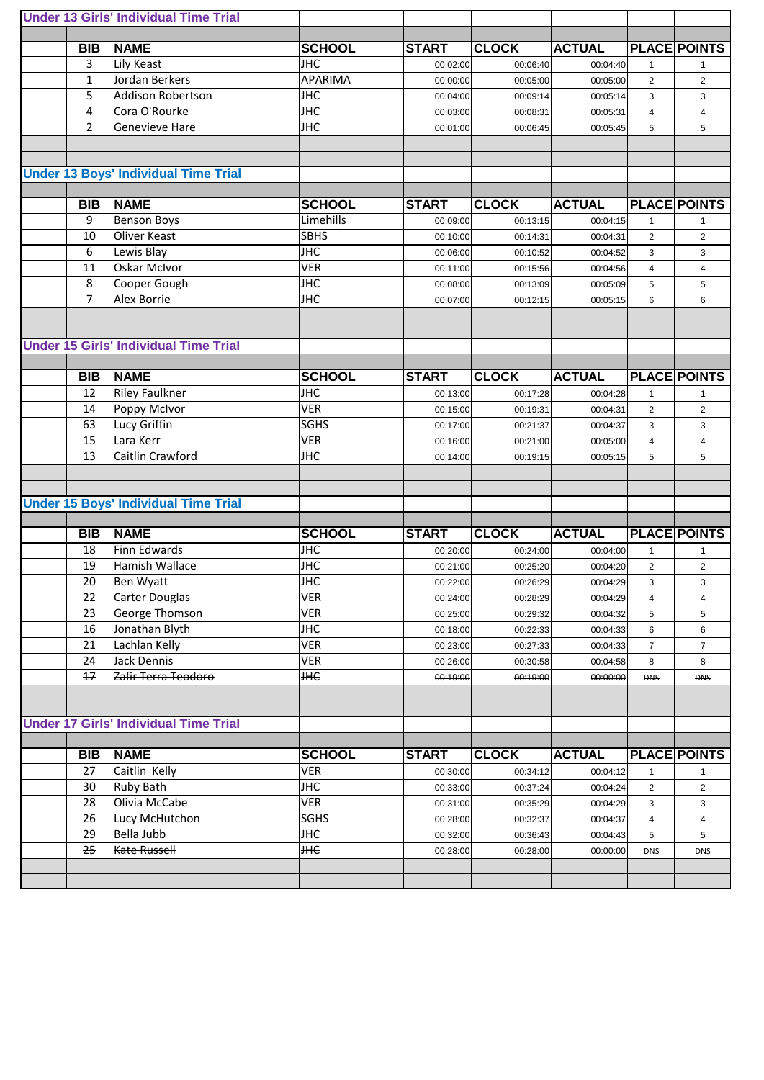|                | <b>Under 13 Girls' Individual Time Trial</b> |                  |              |              |               |                 |                     |
|----------------|----------------------------------------------|------------------|--------------|--------------|---------------|-----------------|---------------------|
|                |                                              |                  |              |              |               |                 |                     |
| <b>BIB</b>     | <b>NAME</b>                                  | <b>SCHOOL</b>    | <b>START</b> | <b>CLOCK</b> | <b>ACTUAL</b> |                 | <b>PLACE POINTS</b> |
| $\overline{3}$ | Lily Keast                                   | <b>JHC</b>       | 00:02:00     | 00:06:40     | 00:04:40      | $\mathbf{1}$    | 1                   |
| $\mathbf{1}$   | Jordan Berkers                               | <b>APARIMA</b>   | 00:00:00     | 00:05:00     | 00:05:00      | $\overline{2}$  | $\overline{2}$      |
| 5              | <b>Addison Robertson</b>                     | <b>JHC</b>       | 00:04:00     | 00:09:14     | 00:05:14      | 3               | 3                   |
| 4              | Cora O'Rourke                                | <b>JHC</b>       | 00:03:00     | 00:08:31     | 00:05:31      | $\overline{4}$  | 4                   |
| $\overline{2}$ | <b>Genevieve Hare</b>                        | <b>JHC</b>       | 00:01:00     | 00:06:45     | 00:05:45      | 5               | 5                   |
|                |                                              |                  |              |              |               |                 |                     |
|                |                                              |                  |              |              |               |                 |                     |
|                | <b>Under 13 Boys' Individual Time Trial</b>  |                  |              |              |               |                 |                     |
|                |                                              |                  |              |              |               |                 |                     |
| <b>BIB</b>     | <b>NAME</b>                                  | <b>SCHOOL</b>    | <b>START</b> | <b>CLOCK</b> | <b>ACTUAL</b> |                 | <b>PLACE POINTS</b> |
| 9              | <b>Benson Boys</b>                           | <b>Limehills</b> | 00:09:00     | 00:13:15     | 00:04:15      | $\mathbf{1}$    | $\mathbf{1}$        |
| 10             | Oliver Keast                                 | <b>SBHS</b>      | 00:10:00     | 00:14:31     | 00:04:31      | $\overline{2}$  | $\overline{2}$      |
| 6              | Lewis Blay                                   | <b>JHC</b>       | 00:06:00     | 00:10:52     | 00:04:52      | 3               | 3                   |
| 11             | <b>Oskar McIvor</b>                          | <b>VER</b>       | 00:11:00     | 00:15:56     | 00:04:56      | $\overline{4}$  | 4                   |
| 8              | Cooper Gough                                 | <b>JHC</b>       |              |              |               |                 |                     |
| $\overline{7}$ | <b>Alex Borrie</b>                           |                  | 00:08:00     | 00:13:09     | 00:05:09      | $5\phantom{.0}$ | 5                   |
|                |                                              | <b>JHC</b>       | 00:07:00     | 00:12:15     | 00:05:15      | $\,6\,$         | 6                   |
|                |                                              |                  |              |              |               |                 |                     |
|                | <b>Under 15 Girls' Individual Time Trial</b> |                  |              |              |               |                 |                     |
|                |                                              |                  |              |              |               |                 |                     |
|                |                                              |                  |              |              |               |                 |                     |
| <b>BIB</b>     | <b>NAME</b>                                  | <b>SCHOOL</b>    | <b>START</b> | <b>CLOCK</b> | <b>ACTUAL</b> |                 | <b>PLACE POINTS</b> |
| 12             | <b>Riley Faulkner</b>                        | <b>JHC</b>       | 00:13:00     | 00:17:28     | 00:04:28      | $\mathbf 1$     | 1                   |
| 14             | Poppy McIvor                                 | VER              | 00:15:00     | 00:19:31     | 00:04:31      | $\overline{2}$  | $\overline{2}$      |
| 63             | Lucy Griffin                                 | <b>SGHS</b>      | 00:17:00     | 00:21:37     | 00:04:37      | 3               | 3                   |
| 15             | Lara Kerr                                    | <b>VER</b>       | 00:16:00     | 00:21:00     | 00:05:00      | $\overline{4}$  | 4                   |
| 13             | Caitlin Crawford                             | <b>JHC</b>       | 00:14:00     | 00:19:15     | 00:05:15      | 5               | 5                   |
|                |                                              |                  |              |              |               |                 |                     |
|                |                                              |                  |              |              |               |                 |                     |
|                | <b>Under 15 Boys' Individual Time Trial</b>  |                  |              |              |               |                 |                     |
|                |                                              |                  |              |              |               |                 |                     |
| <b>BIB</b>     | <b>NAME</b>                                  | <b>SCHOOL</b>    | <b>START</b> | <b>CLOCK</b> | <b>ACTUAL</b> |                 | <b>PLACE POINTS</b> |
| 18             | <b>Finn Edwards</b>                          | <b>JHC</b>       | 00:20:00     | 00:24:00     | 00:04:00      | $\mathbf{1}$    | 1                   |
| 19             | <b>Hamish Wallace</b>                        | <b>JHC</b>       | 00:21:00     | 00:25:20     | 00:04:20      | $\overline{2}$  | $\overline{2}$      |
| 20             | Ben Wyatt                                    | <b>JHC</b>       | 00:22:00     | 00:26:29     | 00:04:29      | 3               | 3                   |
| 22             | <b>Carter Douglas</b>                        | <b>VER</b>       | 00:24:00     | 00:28:29     | 00:04:29      | $\overline{4}$  | $\overline{4}$      |
| 23             | George Thomson                               | <b>VER</b>       | 00:25:00     | 00:29:32     | 00:04:32      | $\overline{5}$  | 5                   |
| 16             | Jonathan Blyth                               | <b>JHC</b>       | 00:18:00     | 00:22:33     | 00:04:33      | $\,6\,$         | 6                   |
| 21             | Lachlan Kelly                                | <b>VER</b>       | 00:23:00     | 00:27:33     | 00:04:33      | $\overline{7}$  | $\overline{7}$      |
| 24             | <b>Jack Dennis</b>                           | <b>VER</b>       | 00:26:00     | 00:30:58     | 00:04:58      | 8               | 8                   |
| $+7$           | Zafir Terra Teodoro                          | <b>THE</b>       | 00:19:00     | 00:19:00     | 00:00:00      | <b>DNS</b>      | <b>DNS</b>          |
|                |                                              |                  |              |              |               |                 |                     |
|                |                                              |                  |              |              |               |                 |                     |
|                | <b>Under 17 Girls' Individual Time Trial</b> |                  |              |              |               |                 |                     |
|                |                                              |                  |              |              |               |                 |                     |
| <b>BIB</b>     | <b>NAME</b>                                  | <b>SCHOOL</b>    | <b>START</b> | <b>CLOCK</b> | <b>ACTUAL</b> |                 | <b>PLACE POINTS</b> |
| 27             | Caitlin Kelly                                | <b>VER</b>       | 00:30:00     | 00:34:12     | 00:04:12      | $\mathbf{1}$    | 1                   |
| 30             | <b>Ruby Bath</b>                             | <b>JHC</b>       | 00:33:00     | 00:37:24     | 00:04:24      | $\overline{2}$  | $\overline{2}$      |
| 28             | Olivia McCabe                                | <b>VER</b>       | 00:31:00     | 00:35:29     | 00:04:29      | 3               | 3                   |
| 26             | Lucy McHutchon                               | <b>SGHS</b>      | 00:28:00     | 00:32:37     | 00:04:37      | 4               | 4                   |
| 29             | Bella Jubb                                   | <b>JHC</b>       | 00:32:00     | 00:36:43     | 00:04:43      | 5               | 5                   |
| 25             | Kate Russell                                 | <b>HHE</b>       | 00:28:00     | 00:28:00     | 00:00:00      | <b>DNS</b>      | <b>DNS</b>          |
|                |                                              |                  |              |              |               |                 |                     |
|                |                                              |                  |              |              |               |                 |                     |